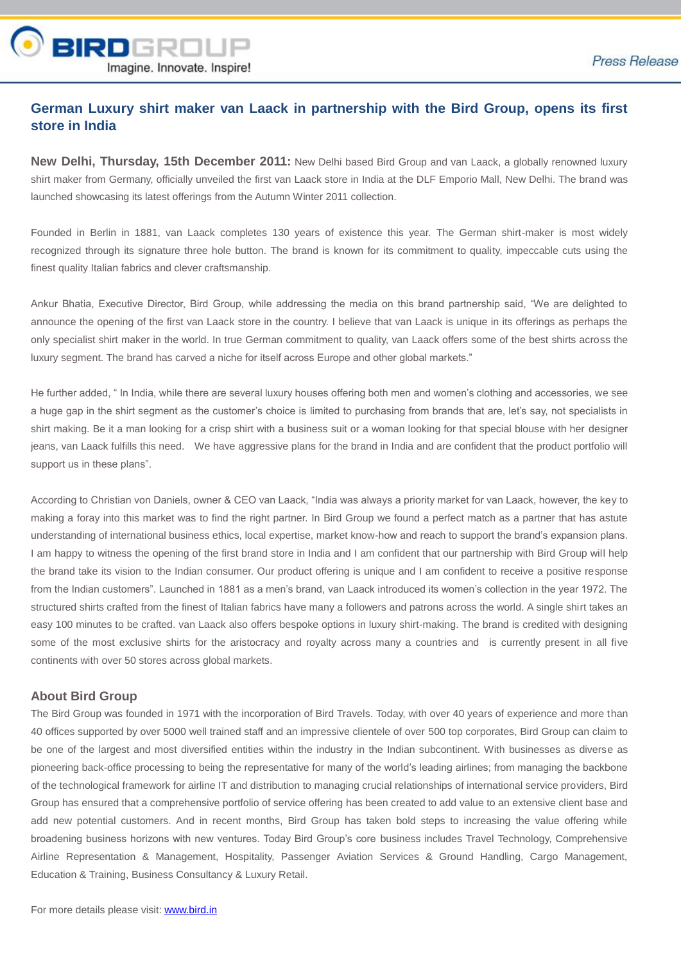

## **German Luxury shirt maker van Laack in partnership with the Bird Group, opens its first store in India**

**New Delhi, Thursday, 15th December 2011:** New Delhi based Bird Group and van Laack, a globally renowned luxury shirt maker from Germany, officially unveiled the first van Laack store in India at the DLF Emporio Mall, New Delhi. The brand was launched showcasing its latest offerings from the Autumn Winter 2011 collection.

Founded in Berlin in 1881, van Laack completes 130 years of existence this year. The German shirt-maker is most widely recognized through its signature three hole button. The brand is known for its commitment to quality, impeccable cuts using the finest quality Italian fabrics and clever craftsmanship.

Ankur Bhatia, Executive Director, Bird Group, while addressing the media on this brand partnership said, "We are delighted to announce the opening of the first van Laack store in the country. I believe that van Laack is unique in its offerings as perhaps the only specialist shirt maker in the world. In true German commitment to quality, van Laack offers some of the best shirts across the luxury segment. The brand has carved a niche for itself across Europe and other global markets."

He further added, " In India, while there are several luxury houses offering both men and women's clothing and accessories, we see a huge gap in the shirt segment as the customer's choice is limited to purchasing from brands that are, let's say, not specialists in shirt making. Be it a man looking for a crisp shirt with a business suit or a woman looking for that special blouse with her designer jeans, van Laack fulfills this need. We have aggressive plans for the brand in India and are confident that the product portfolio will support us in these plans".

According to Christian von Daniels, owner & CEO van Laack, "India was always a priority market for van Laack, however, the key to making a foray into this market was to find the right partner. In Bird Group we found a perfect match as a partner that has astute understanding of international business ethics, local expertise, market know-how and reach to support the brand's expansion plans. I am happy to witness the opening of the first brand store in India and I am confident that our partnership with Bird Group will help the brand take its vision to the Indian consumer. Our product offering is unique and I am confident to receive a positive response from the Indian customers". Launched in 1881 as a men's brand, van Laack introduced its women's collection in the year 1972. The structured shirts crafted from the finest of Italian fabrics have many a followers and patrons across the world. A single shirt takes an easy 100 minutes to be crafted. van Laack also offers bespoke options in luxury shirt-making. The brand is credited with designing some of the most exclusive shirts for the aristocracy and royalty across many a countries and is currently present in all five continents with over 50 stores across global markets.

## **About Bird Group**

The Bird Group was founded in 1971 with the incorporation of Bird Travels. Today, with over 40 years of experience and more than 40 offices supported by over 5000 well trained staff and an impressive clientele of over 500 top corporates, Bird Group can claim to be one of the largest and most diversified entities within the industry in the Indian subcontinent. With businesses as diverse as pioneering back-office processing to being the representative for many of the world's leading airlines; from managing the backbone of the technological framework for airline IT and distribution to managing crucial relationships of international service providers, Bird Group has ensured that a comprehensive portfolio of service offering has been created to add value to an extensive client base and add new potential customers. And in recent months, Bird Group has taken bold steps to increasing the value offering while broadening business horizons with new ventures. Today Bird Group's core business includes Travel Technology, Comprehensive Airline Representation & Management, Hospitality, Passenger Aviation Services & Ground Handling, Cargo Management, Education & Training, Business Consultancy & Luxury Retail.